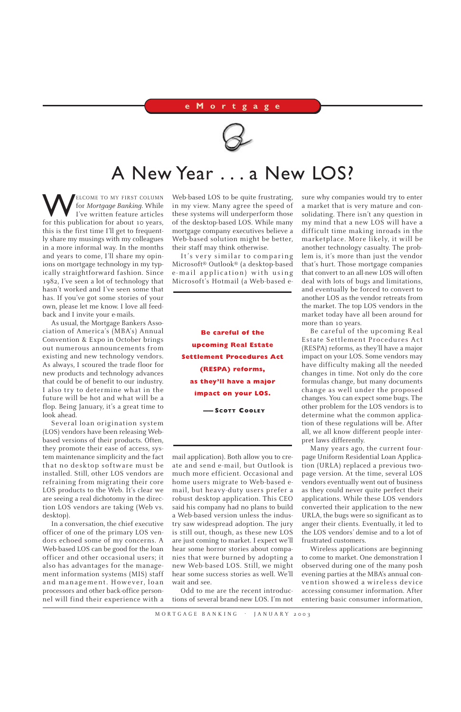WELCOME TO MY FIRST COLUMN for *Mortgage Banking.* While I've written feature articles for this publication for about 10 years, this is the first time I'll get to frequently share my musings with my colleagues in a more informal way. In the months and years to come, I'll share my opinions on mortgage technology in my typically straightforward fashion. Since 1982, I've seen a lot of technology that hasn't worked and I've seen some that has. If you've got some stories of your own, please let me know. I love all feedback and I invite your e-mails.

As usual, the Mortgage Bankers Association of America's (MBA's) Annual Convention & Expo in October brings out numerous announcements from existing and new technology vendors. As always, I scoured the trade floor for new products and technology advances that could be of benefit to our industry. I also try to determine what in the future will be hot and what will be a flop. Being January, it's a great time to look ahead.

Several loan origination system (LOS) vendors have been releasing Webbased versions of their products. Often, they promote their ease of access, system maintenance simplicity and the fact that no desktop software must be installed. Still, other LOS vendors are refraining from migrating their core LOS products to the Web. It's clear we are seeing a real dichotomy in the direction LOS vendors are taking (Web vs. desktop).

In a conversation, the chief executive officer of one of the primary LOS vendors echoed some of my concerns. A Web-based LOS can be good for the loan officer and other occasional users; it also has advantages for the management information systems (MIS) staff and management. However, loan processors and other back-office personnel will find their experience with a

Web-based LOS to be quite frustrating, in my view. Many agree the speed of these systems will underperform those of the desktop-based LOS. While many mortgage company executives believe a Web-based solution might be better, their staff may think otherwise.

It's very similar to comparing Microsoft® Outlook® (a desktop-based e-mail application) with using Microsoft's Hotmail (a Web-based e-

mail application). Both allow you to create and send e-mail, but Outlook is much more efficient. Occasional and home users migrate to Web-based email, but heavy-duty users prefer a robust desktop application. This CEO said his company had no plans to build a Web-based version unless the industry saw widespread adoption. The jury is still out, though, as these new LOS are just coming to market. I expect we'll hear some horror stories about companies that were burned by adopting a new Web-based LOS. Still, we might hear some success stories as well. We'll wait and see.

Odd to me are the recent introductions of several brand-new LOS. I'm not

MORTGAGE BANKING . JANUARY 2003

sure why companies would try to enter a market that is very mature and consolidating. There isn't any question in my mind that a new LOS will have a difficult time making inroads in the marketplace. More likely, it will be another technology casualty. The problem is, it's more than just the vendor that's hurt. Those mortgage companies that convert to an all-new LOS will often deal with lots of bugs and limitations, and eventually be forced to convert to another LOS as the vendor retreats from the market. The top LOS vendors in the market today have all been around for more than 10 years.

Be careful of the upcoming Real Estate Settlement Procedures Act (RESPA) reforms, as they'll have a major impact on your LOS. Some vendors may have difficulty making all the needed changes in time. Not only do the core formulas change, but many documents change as well under the proposed changes. You can expect some bugs. The other problem for the LOS vendors is to determine what the common application of these regulations will be. After all, we all know different people interpret laws differently.

Many years ago, the current fourpage Uniform Residential Loan Application (URLA) replaced a previous twopage version. At the time, several LOS vendors eventually went out of business as they could never quite perfect their applications. While these LOS vendors converted their application to the new URLA, the bugs were so significant as to anger their clients. Eventually, it led to the LOS vendors' demise and to a lot of frustrated customers. Wireless applications are beginning to come to market. One demonstration I observed during one of the many posh evening parties at the MBA's annual convention showed a wireless device accessing consumer information. After entering basic consumer information,

## **eMortgage**



## A New Year . . . a New LOS?

**Be careful of the upcoming Real Estate Settlement Procedures Act (RESPA) reforms, as they'll have a major impact on your LOS.**

**—— SCOTT COOLEY**